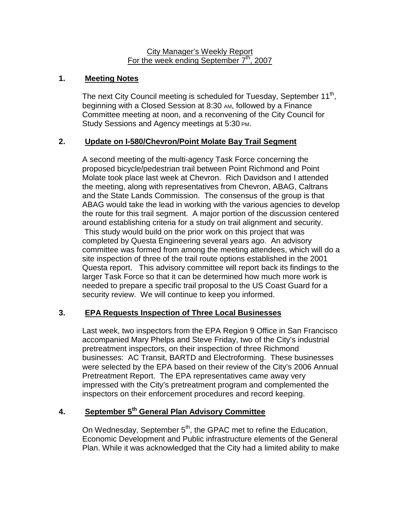#### City Manager's Weekly Report For the week ending September  $7<sup>th</sup>$ , 2007

## **1. Meeting Notes**

The next City Council meeting is scheduled for Tuesday, September 11<sup>th</sup>, beginning with a Closed Session at 8:30 AM, followed by a Finance Committee meeting at noon, and a reconvening of the City Council for Study Sessions and Agency meetings at 5:30 PM.

### **2. Update on I-580/Chevron/Point Molate Bay Trail Segment**

A second meeting of the multi-agency Task Force concerning the proposed bicycle/pedestrian trail between Point Richmond and Point Molate took place last week at Chevron. Rich Davidson and I attended the meeting, along with representatives from Chevron, ABAG, Caltrans and the State Lands Commission. The consensus of the group is that ABAG would take the lead in working with the various agencies to develop the route for this trail segment. A major portion of the discussion centered around establishing criteria for a study on trail alignment and security. This study would build on the prior work on this project that was completed by Questa Engineering several years ago. An advisory committee was formed from among the meeting attendees, which will do a site inspection of three of the trail route options established in the 2001 Questa report. This advisory committee will report back its findings to the larger Task Force so that it can be determined how much more work is needed to prepare a specific trail proposal to the US Coast Guard for a security review. We will continue to keep you informed.

### **3. EPA Requests Inspection of Three Local Businesses**

Last week, two inspectors from the EPA Region 9 Office in San Francisco accompanied Mary Phelps and Steve Friday, two of the City's industrial pretreatment inspectors, on their inspection of three Richmond businesses: AC Transit, BARTD and Electroforming. These businesses were selected by the EPA based on their review of the City's 2006 Annual Pretreatment Report. The EPA representatives came away very impressed with the City's pretreatment program and complemented the inspectors on their enforcement procedures and record keeping.

# **4. September 5th General Plan Advisory Committee**

On Wednesday, September 5<sup>th</sup>, the GPAC met to refine the Education, Economic Development and Public infrastructure elements of the General Plan. While it was acknowledged that the City had a limited ability to make